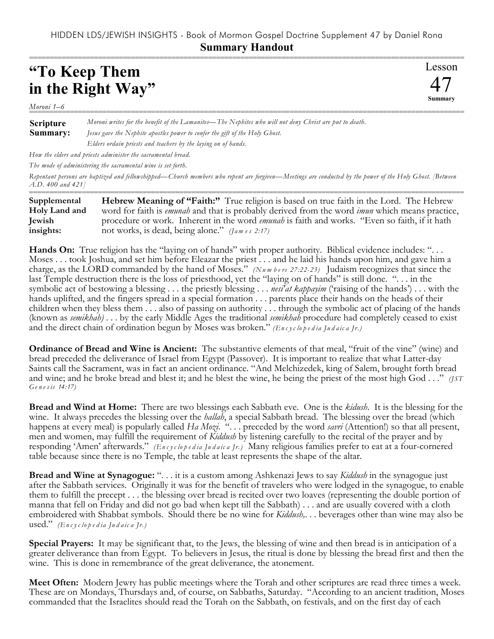## HIDDEN LDS/JEWISH INSIGHTS - Book of Mormon Gospel Doctrine Supplement 47 by Daniel Rona **Summary Handout**

## **"To Keep Them in the Right Way"**

Lesson 47 **Summary** ===========================================================================================================

*Moroni 1–6* ===========================================================================================================

**Scripture Summary:** *Moroni writes for the benefit of the Lamanites—The Nephites who will not deny Christ are put to death. Jesus gave the Nephite apostles power to confer the gift of the Holy Ghost. Elders ordain priests and teachers by the laying on of hands.*

*How the elders and priests administer the sacramental bread.*

*The mode of administering the sacramental wine is set forth.*

*Repentant persons are baptized and fellowshipped—Church members who repent are forgiven—Meetings are conducted by the power of the Holy Ghost. [Between A.D. 400 and 421]*

| Supplemental  | <b>Hebrew Meaning of "Faith:"</b> True religion is based on true faith in the Lord. The Hebrew               |
|---------------|--------------------------------------------------------------------------------------------------------------|
| Holy Land and | word for faith is <i>emunah</i> and that is probably derived from the word <i>imun</i> which means practice, |
| <b>Jewish</b> | procedure or work. Inherent in the word <i>emunah</i> is faith and works. "Even so faith, if it hath         |
| insights:     | not works, is dead, being alone." (James 2:17)                                                               |

Hands On: True religion has the "laying on of hands" with proper authority. Biblical evidence includes: "... Moses . . . took Joshua, and set him before Eleazar the priest . . . and he laid his hands upon him, and gave him a charge, as the LORD commanded by the hand of Moses." *(Numbers 27:22-23)* Judaism recognizes that since the last Temple destruction there is the loss of priesthood, yet the "laying on of hands" is still done. ". . . in the symbolic act of bestowing a blessing . . . the priestly blessing . . . *nesi'at kappayim* ('raising of the hands') . . . with the hands uplifted, and the fingers spread in a special formation . . . parents place their hands on the heads of their children when they bless them . . . also of passing on authority . . . through the symbolic act of placing of the hands (known as *semikhah)* . . . by the early Middle Ages the traditional *semikhah* procedure had completely ceased to exist and the direct chain of ordination begun by Moses was broken." *(En c y c lo p e d ia Ju d a ic a Jr.)*

**Ordinance of Bread and Wine is Ancient:** The substantive elements of that meal, "fruit of the vine" (wine) and bread preceded the deliverance of Israel from Egypt (Passover). It is important to realize that what Latter-day Saints call the Sacrament, was in fact an ancient ordinance. "And Melchizedek, king of Salem, brought forth bread and wine; and he broke bread and blest it; and he blest the wine, he being the priest of the most high God . . ." *(JST Ge n e s is 14:17)*

**Bread and Wind at Home:** There are two blessings each Sabbath eve. One is the *kidush*. It is the blessing for the wine. It always precedes the blessing over the *hallah*, a special Sabbath bread. The blessing over the bread (which happens at every meal) is popularly called *Ha Mozi.* "... preceded by the word *savri* (Attention!) so that all present, men and women, may fulfill the requirement of *Kiddush* by listening carefully to the recital of the prayer and by responding 'Amen' afterwards." *(En c y c lo p e d ia Ju d a ic a Jr.)* Many religious families prefer to eat at a four-cornered table because since there is no Temple, the table at least represents the shape of the altar.

**Bread and Wine at Synagogue:** ". . . it is a custom among Ashkenazi Jews to say *Kiddush* in the synagogue just after the Sabbath services. Originally it was for the benefit of travelers who were lodged in the synagogue, to enable them to fulfill the precept . . . the blessing over bread is recited over two loaves (representing the double portion of manna that fell on Friday and did not go bad when kept till the Sabbath) . . . and are usually covered with a cloth embroidered with Shabbat symbols. Should there be no wine for *Kiddush,*. . . beverages other than wine may also be used." *(En c y c lo p e d ia Ju d a ic a Jr.)*

**Special Prayers:** It may be significant that, to the Jews, the blessing of wine and then bread is in anticipation of a greater deliverance than from Egypt. To believers in Jesus, the ritual is done by blessing the bread first and then the wine. This is done in remembrance of the great deliverance, the atonement.

**Meet Often:** Modern Jewry has public meetings where the Torah and other scriptures are read three times a week. These are on Mondays, Thursdays and, of course, on Sabbaths, Saturday. "According to an ancient tradition, Moses commanded that the Israelites should read the Torah on the Sabbath, on festivals, and on the first day of each